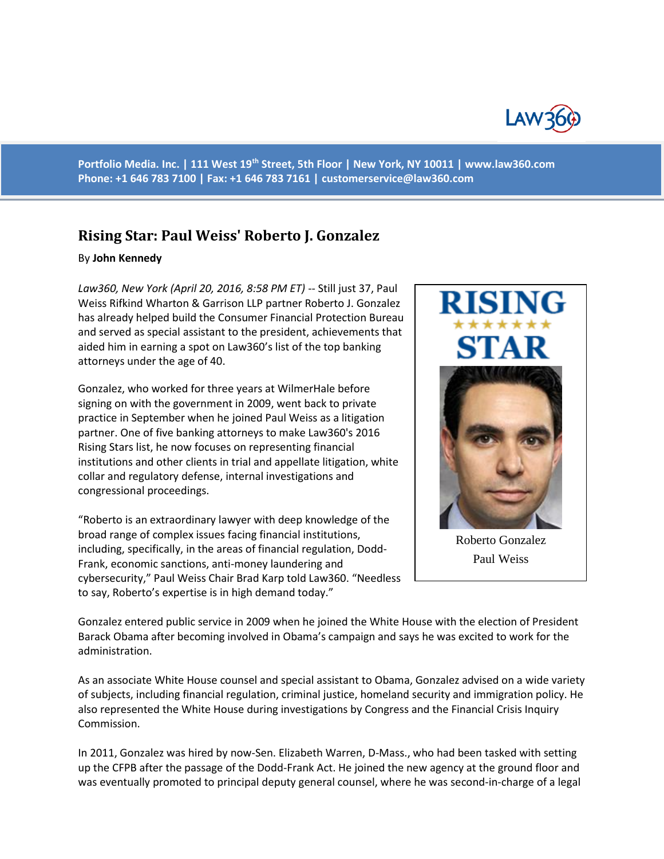

**Portfolio Media. Inc. | 111 West 19th Street, 5th Floor | New York, NY 10011 | www.law360.com Phone: +1 646 783 7100 | Fax: +1 646 783 7161 | [customerservice@law360.com](mailto:customerservice@law360.com)**

## **Rising Star: Paul Weiss' Roberto J. Gonzalez**

## By **John Kennedy**

*Law360, New York (April 20, 2016, 8:58 PM ET)* -- Still just 37, Paul Weiss Rifkind Wharton & Garrison LLP partner Roberto J. Gonzalez has already helped build the Consumer Financial Protection Bureau and served as special assistant to the president, achievements that aided him in earning a spot on Law360's list of the top banking attorneys under the age of 40.

Gonzalez, who worked for three years at WilmerHale before signing on with the government in 2009, went back to private practice in September when he joined Paul Weiss as a litigation partner. One of five banking attorneys to make Law360's 2016 Rising Stars list, he now focuses on representing financial institutions and other clients in trial and appellate litigation, white collar and regulatory defense, internal investigations and congressional proceedings.

"Roberto is an extraordinary lawyer with deep knowledge of the broad range of complex issues facing financial institutions, including, specifically, in the areas of financial regulation, Dodd-Frank, economic sanctions, anti-money laundering and cybersecurity," Paul Weiss Chair Brad Karp told Law360. "Needless to say, Roberto's expertise is in high demand today."



Paul Weiss

Gonzalez entered public service in 2009 when he joined the White House with the election of President Barack Obama after becoming involved in Obama's campaign and says he was excited to work for the administration.

As an associate White House counsel and special assistant to Obama, Gonzalez advised on a wide variety of subjects, including financial regulation, criminal justice, homeland security and immigration policy. He also represented the White House during investigations by Congress and the Financial Crisis Inquiry Commission.

In 2011, Gonzalez was hired by now-Sen. Elizabeth Warren, D-Mass., who had been tasked with setting up the CFPB after the passage of the Dodd-Frank Act. He joined the new agency at the ground floor and was eventually promoted to principal deputy general counsel, where he was second-in-charge of a legal